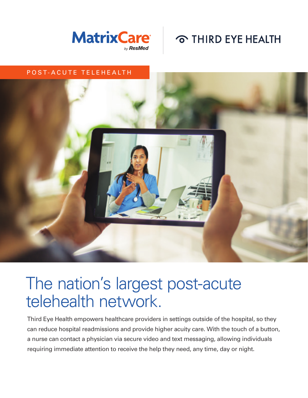



#### POST-ACUTE TELEHEALTH



# The nation's largest post-acute telehealth network.

Third Eye Health empowers healthcare providers in settings outside of the hospital, so they can reduce hospital readmissions and provide higher acuity care. With the touch of a button, a nurse can contact a physician via secure video and text messaging, allowing individuals requiring immediate attention to receive the help they need, any time, day or night.